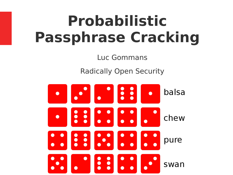# **Probabilistic Passphrase Cracking**

Luc Gommans

Radically Open Security

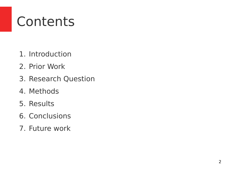### **Contents**

- 1. Introduction
- 2. Prior Work
- 3. Research Question
- 4. Methods
- 5. Results
- 6. Conclusions
- 7. Future work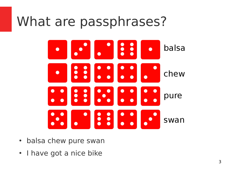#### What are passphrases?



- balsa chew pure swan
- I have got a nice bike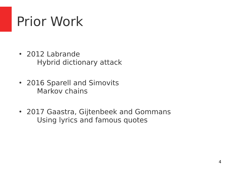### Prior Work

- 2012 Labrande Hybrid dictionary attack
- 2016 Sparell and Simovits Markov chains
- 2017 Gaastra, Gijtenbeek and Gommans Using lyrics and famous quotes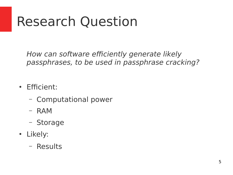### Research Question

How can software efficiently generate likely passphrases, to be used in passphrase cracking?

- Efficient:
	- Computational power
	- RAM
	- Storage
- Likely:
	- Results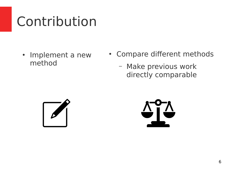## Contribution

- Implement a new method
- Compare different methods
	- Make previous work directly comparable



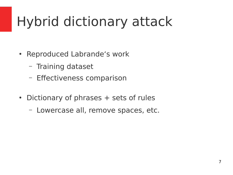# Hybrid dictionary attack

- Reproduced Labrande's work
	- Training dataset
	- Efectiveness comparison
- Dictionary of phrases  $+$  sets of rules
	- Lowercase all, remove spaces, etc.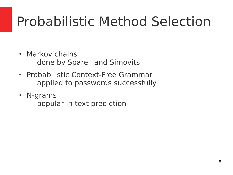## Probabilistic Method Selection

- Markov chains done by Sparell and Simovits
- Probabilistic Context-Free Grammar applied to passwords successfully
- N-grams

popular in text prediction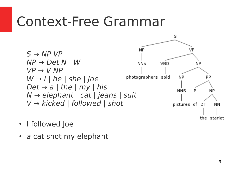#### Context-Free Grammar



- I followed Joe
- $\bullet$  a cat shot my elephant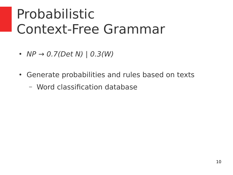### Probabilistic Context-Free Grammar

- $NP \rightarrow 0.7(Det N)$  |  $0.3(W)$
- Generate probabilities and rules based on texts
	- Word classifcation database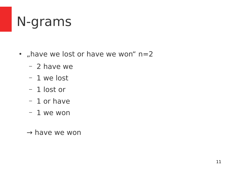#### N-grams

- "have we lost or have we won" n=2
	- 2 have we
	- 1 we lost
	- 1 lost or
	- 1 or have
	- 1 we won
	- $\rightarrow$  have we won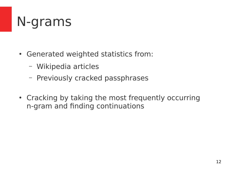### N-grams

- Generated weighted statistics from:
	- Wikipedia articles
	- Previously cracked passphrases
- Cracking by taking the most frequently occurring n-gram and fnding continuations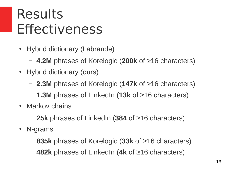#### Results **Effectiveness**

- Hybrid dictionary (Labrande)
	- **4.2M** phrases of Korelogic (**200k** of ≥16 characters)
- Hybrid dictionary (ours)
	- **2.3M** phrases of Korelogic (**147k** of ≥16 characters)
	- **1.3M** phrases of LinkedIn (**13k** of ≥16 characters)
- Markov chains
	- **25k** phrases of LinkedIn (**384** of ≥16 characters)
- N-grams
	- **835k** phrases of Korelogic (**33k** of ≥16 characters)
	- **482k** phrases of LinkedIn (**4k** of ≥16 characters)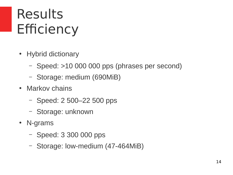### Results Efficiency

- Hybrid dictionary
	- Speed: >10 000 000 pps (phrases per second)
	- Storage: medium (690MiB)
- Markov chains
	- Speed: 2 500–22 500 pps
	- Storage: unknown
- N-grams
	- Speed: 3 300 000 pps
	- Storage: low-medium (47-464MiB)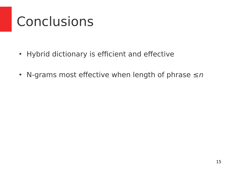## Conclusions

- Hybrid dictionary is efficient and effective
- N-grams most effective when length of phrase  $\leq n$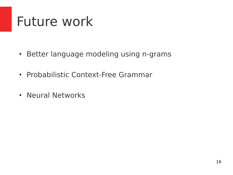#### Future work

- Better language modeling using n-grams
- Probabilistic Context-Free Grammar
- Neural Networks